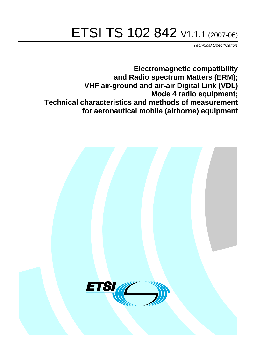# ETSI TS 102 842 V1.1.1 (2007-06)

Technical Specification

**Electromagnetic compatibility and Radio spectrum Matters (ERM); VHF air-ground and air-air Digital Link (VDL) Mode 4 radio equipment; Technical characteristics and methods of measurement for aeronautical mobile (airborne) equipment**

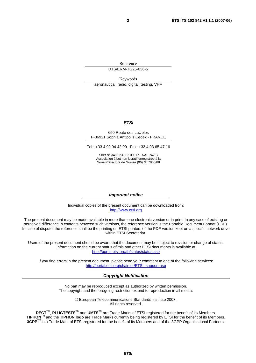Reference DTS/ERM-TG25-036-5

Keywords aeronautical, radio, digital, testing, VHF

#### **ETSI**

#### 650 Route des Lucioles F-06921 Sophia Antipolis Cedex - FRANCE

Tel.: +33 4 92 94 42 00 Fax: +33 4 93 65 47 16

Siret N° 348 623 562 00017 - NAF 742 C Association à but non lucratif enregistrée à la Sous-Préfecture de Grasse (06) N° 7803/88

#### **Important notice**

Individual copies of the present document can be downloaded from: [http://www.etsi.org](http://www.etsi.org/)

The present document may be made available in more than one electronic version or in print. In any case of existing or perceived difference in contents between such versions, the reference version is the Portable Document Format (PDF). In case of dispute, the reference shall be the printing on ETSI printers of the PDF version kept on a specific network drive within ETSI Secretariat.

Users of the present document should be aware that the document may be subject to revision or change of status. Information on the current status of this and other ETSI documents is available at <http://portal.etsi.org/tb/status/status.asp>

If you find errors in the present document, please send your comment to one of the following services: [http://portal.etsi.org/chaircor/ETSI\\_support.asp](http://portal.etsi.org/chaircor/ETSI_support.asp)

#### **Copyright Notification**

No part may be reproduced except as authorized by written permission. The copyright and the foregoing restriction extend to reproduction in all media.

> © European Telecommunications Standards Institute 2007. All rights reserved.

**DECT**TM, **PLUGTESTS**TM and **UMTS**TM are Trade Marks of ETSI registered for the benefit of its Members. **TIPHON**TM and the **TIPHON logo** are Trade Marks currently being registered by ETSI for the benefit of its Members. **3GPP**TM is a Trade Mark of ETSI registered for the benefit of its Members and of the 3GPP Organizational Partners.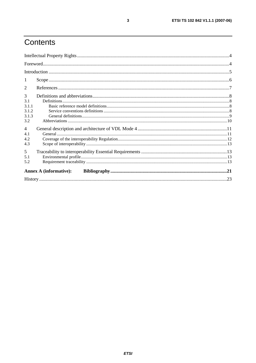# Contents

| 1               |                               |  |  |
|-----------------|-------------------------------|--|--|
| $\overline{2}$  |                               |  |  |
| $\overline{3}$  |                               |  |  |
| 3.1             |                               |  |  |
| 3.1.1<br>3.1.2  |                               |  |  |
| 3.1.3           |                               |  |  |
| 3.2             |                               |  |  |
| $\overline{4}$  |                               |  |  |
| 4.1             |                               |  |  |
| 4.2             |                               |  |  |
| 4.3             |                               |  |  |
| $5\overline{)}$ |                               |  |  |
| 5.1             |                               |  |  |
| 5.2             |                               |  |  |
|                 | <b>Annex A (informative):</b> |  |  |
|                 |                               |  |  |

 $\mathbf{3}$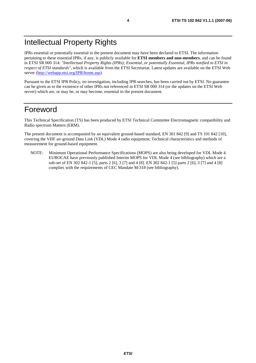IPRs essential or potentially essential to the present document may have been declared to ETSI. The information pertaining to these essential IPRs, if any, is publicly available for **ETSI members and non-members**, and can be found in ETSI SR 000 314: *"Intellectual Property Rights (IPRs); Essential, or potentially Essential, IPRs notified to ETSI in respect of ETSI standards"*, which is available from the ETSI Secretariat. Latest updates are available on the ETSI Web server ([http://webapp.etsi.org/IPR/home.asp\)](http://webapp.etsi.org/IPR/home.asp).

Pursuant to the ETSI IPR Policy, no investigation, including IPR searches, has been carried out by ETSI. No guarantee can be given as to the existence of other IPRs not referenced in ETSI SR 000 314 (or the updates on the ETSI Web server) which are, or may be, or may become, essential to the present document.

### Foreword

This Technical Specification (TS) has been produced by ETSI Technical Committee Electromagnetic compatibility and Radio spectrum Matters (ERM).

The present document is accompanied by an equivalent ground-based standard, EN 301 842 [9] and TS 101 842 [10], covering the VHF air-ground Data Link (VDL) Mode 4 radio equipment; Technical characteristics and methods of measurement for ground-based equipment.

NOTE: Minimum Operational Performance Specifications (MOPS) are also being developed for VDL Mode 4. EUROCAE have previously published Interim MOPS for VDL Mode 4 (see bibliography) which are a sub-set of EN 302 842-1 [5], parts 2 [6], 3 [7] and 4 [8]. EN 302 842-1 [5] parts 2 [6], 3 [7] and 4 [8] complies with the requirements of CEC Mandate M/318 (see bibliography).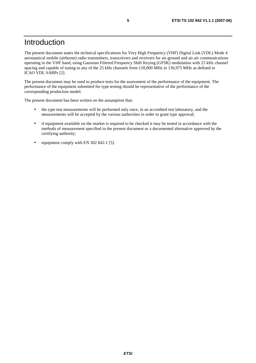### Introduction

The present document states the technical specifications for Very High Frequency (VHF) Digital Link (VDL) Mode 4 aeronautical mobile (airborne) radio transmitters, transceivers and receivers for air-ground and air-air communications operating in the VHF band, using Gaussian Filtered Frequency Shift Keying (GFSK) modulation with 25 kHz channel spacing and capable of tuning to any of the 25 kHz channels from 118,000 MHz to 136,975 MHz as defined in ICAO VDL SARPs [2].

The present document may be used to produce tests for the assessment of the performance of the equipment. The performance of the equipment submitted for type testing should be representative of the performance of the corresponding production model.

The present document has been written on the assumption that:

- the type test measurements will be performed only once, in an accredited test laboratory, and the measurements will be accepted by the various authorities in order to grant type approval;
- if equipment available on the market is required to be checked it may be tested in accordance with the methods of measurement specified in the present document or a documented alternative approved by the certifying authority;
- equipment comply with EN 302 842-1 [5].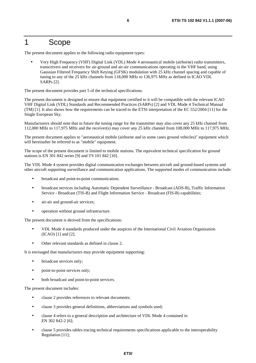### 1 Scope

The present document applies to the following radio equipment types:

• Very High Frequency (VHF) Digital Link (VDL) Mode 4 aeronautical mobile (airborne) radio transmitters, transceivers and receivers for air-ground and air-air communications operating in the VHF band, using Gaussian Filtered Frequency Shift Keying (GFSK) modulation with 25 kHz channel spacing and capable of tuning to any of the 25 kHz channels from 118,000 MHz to 136,975 MHz as defined in ICAO VDL SARPs [2].

The present document provides part 5 of the technical specifications.

The present document is designed to ensure that equipment certified to it will be compatible with the relevant ICAO VHF Digital Link (VDL) Standards and Recommended Practices (SARPs) [2] and VDL Mode 4 Technical Manual (TM) [1]. It also shows how the requirements can be traced to the ETSI interpretation of the EC 552/2004 [11] for the Single European Sky.

Manufacturers should note that in future the tuning range for the transmitter may also cover any 25 kHz channel from 112,000 MHz to 117,975 MHz and the receiver(s) may cover any 25 kHz channel from 108,000 MHz to 117,975 MHz.

The present document applies to "aeronautical mobile (airborne and in some cases ground vehicles)" equipment which will hereinafter be referred to as "mobile" equipment.

The scope of the present document is limited to mobile stations. The equivalent technical specification for ground stations is EN 301 842 series [9] and TS 101 842 [10].

The VDL Mode 4 system provides digital communication exchanges between aircraft and ground-based systems and other aircraft supporting surveillance and communication applications. The supported modes of communication include:

- broadcast and point-to-point communication;
- broadcast services including Automatic Dependent Surveillance Broadcast (ADS-B), Traffic Information Service - Broadcast (TIS-B) and Flight Information Service - Broadcast (FIS-B) capabilities;
- air-air and ground-air services;
- operation without ground infrastructure.

The present document is derived from the specifications:

- VDL Mode 4 standards produced under the auspices of the International Civil Aviation Organization (ICAO) [1] and [2].
- Other relevant standards as defined in clause 2.

It is envisaged that manufacturers may provide equipment supporting:

- broadcast services only;
- point-to-point services only;
- both broadcast and point-to-point services.

The present document includes:

- clause 2 provides references to relevant documents;
- clause 3 provides general definitions, abbreviations and symbols used;
- clause 4 refers to a general description and architecture of VDL Mode 4 contained in EN 302 842-2 [6];
- clause 5 provides tables tracing technical requirements specifications applicable to the interoperability Regulation [11];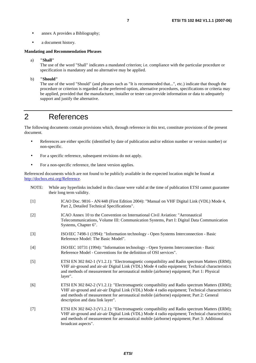- annex A provides a Bibliography;
- a document history.

#### **Mandating and Recommendation Phrases**

a) **"Shall"**

The use of the word "Shall" indicates a mandated criterion; i.e. compliance with the particular procedure or specification is mandatory and no alternative may be applied.

b) **"Should"**

The use of the word "Should" (and phrases such as "It is recommended that...", etc.) indicate that though the procedure or criterion is regarded as the preferred option, alternative procedures, specifications or criteria may be applied, provided that the manufacturer, installer or tester can provide information or data to adequately support and justify the alternative.

### 2 References

The following documents contain provisions which, through reference in this text, constitute provisions of the present document.

- References are either specific (identified by date of publication and/or edition number or version number) or non-specific.
- For a specific reference, subsequent revisions do not apply.
- For a non-specific reference, the latest version applies.

Referenced documents which are not found to be publicly available in the expected location might be found at <http://docbox.etsi.org/Reference>.

- NOTE: While any hyperlinks included in this clause were valid at the time of publication ETSI cannot guarantee their long term validity.
- [1] ICAO Doc. 9816 AN/448 (First Edition 2004): "Manual on VHF Digital Link (VDL) Mode 4, Part 2, Detailed Technical Specifications".
- [2] ICAO Annex 10 to the Convention on International Civil Aviation: "Aeronautical Telecommunications, Volume III: Communication Systems, Part I: Digital Data Communication Systems, Chapter 6".
- [3] ISO/IEC 7498-1 (1994): "Information technology Open Systems Interconnection Basic Reference Model: The Basic Model".
- [4] ISO/IEC 10731 (1994): "Information technology Open Systems Interconnection Basic Reference Model - Conventions for the definition of OSI services".
- [5] ETSI EN 302 842-1 (V1.2.1): "Electromagnetic compatibility and Radio spectrum Matters (ERM); VHF air-ground and air-air Digital Link (VDL) Mode 4 radio equipment; Technical characteristics and methods of measurement for aeronautical mobile (airborne) equipment; Part 1: Physical layer".
- [6] ETSI EN 302 842-2 (V1.2.1): "Electromagnetic compatibility and Radio spectrum Matters (ERM); VHF air-ground and air-air Digital Link (VDL) Mode 4 radio equipment; Technical characteristics and methods of measurement for aeronautical mobile (airborne) equipment; Part 2: General description and data link layer".
- [7] ETSI EN 302 842-3 (V1.2.1): "Electromagnetic compatibility and Radio spectrum Matters (ERM); VHF air-ground and air-air Digital Link (VDL) Mode 4 radio equipment; Technical characteristics and methods of measurement for aeronautical mobile (airborne) equipment; Part 3: Additional broadcast aspects".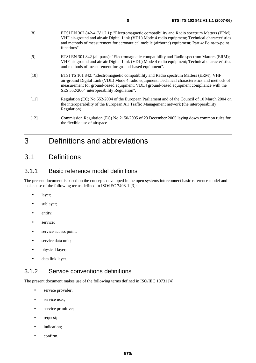| [8]  | ETSI EN 302 842-4 (V1.2.1): "Electromagnetic compatibility and Radio spectrum Matters (ERM);<br>VHF air-ground and air-air Digital Link (VDL) Mode 4 radio equipment; Technical characteristics<br>and methods of measurement for aeronautical mobile (airborne) equipment; Part 4: Point-to-point<br>functions". |
|------|-------------------------------------------------------------------------------------------------------------------------------------------------------------------------------------------------------------------------------------------------------------------------------------------------------------------|
| [9]  | ETSI EN 301 842 (all parts): "Electromagnetic compatibility and Radio spectrum Matters (ERM);<br>VHF air-ground and air-air Digital Link (VDL) Mode 4 radio equipment; Technical characteristics<br>and methods of measurement for ground-based equipment".                                                       |
| [10] | ETSI TS 101 842: "Electromagnetic compatibility and Radio spectrum Matters (ERM): VHF                                                                                                                                                                                                                             |

- [10] ETSI TS 101 842: "Electromagnetic compatibility and Radio spectrum Matters (ERM); VHF air-ground Digital Link (VDL) Mode 4 radio equipment; Technical characteristics and methods of measurement for ground-based equipment; VDL4 ground-based equipment compliance with the SES 552/2004 interoperability Regulation".
- [11] Regulation (EC) No 552/2004 of the European Parliament and of the Council of 10 March 2004 on the interoperability of the European Air Traffic Management network (the interoperability Regulation).
- [12] Commission Regulation (EC) No 2150/2005 of 23 December 2005 laying down common rules for the flexible use of airspace.

## 3 Definitions and abbreviations

### 3.1 Definitions

### 3.1.1 Basic reference model definitions

The present document is based on the concepts developed in the open systems interconnect basic reference model and makes use of the following terms defined in ISO/IEC 7498-1 [3]:

- layer;
- sublayer;
- entity;
- service;
- service access point;
- service data unit;
- physical layer;
- data link layer.

### 3.1.2 Service conventions definitions

The present document makes use of the following terms defined in ISO/IEC 10731 [4]:

- service provider;
- service user;
- service primitive;
- request;
- indication;
- confirm.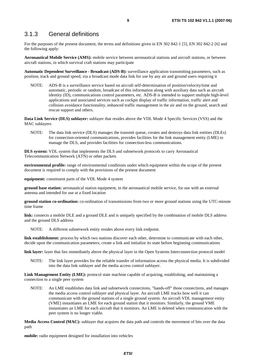#### 3.1.3 General definitions

For the purposes of the present document, the terms and definitions given in EN 302 842-1 [5], EN 302 842-2 [6] and the following apply:

**Aeronautical Mobile Service (AMS):** mobile service between aeronautical stations and aircraft stations, or between aircraft stations, in which survival craft stations may participate

**Automatic Dependent Surveillance - Broadcast (ADS-B):** surveillance application transmitting parameters, such as position, track and ground speed, via a broadcast mode data link for use by any air and ground users requiring it

NOTE: ADS-B is a surveillance service based on aircraft self-determination of position/velocity/time and automatic, periodic or random, broadcast of this information along with auxiliary data such as aircraft identity (ID), communications control parameters, etc. ADS-B is intended to support multiple high-level applications and associated services such as cockpit display of traffic information, traffic alert and collision avoidance functionality, enhanced traffic management in the air and on the ground, search and rescue support and others.

**Data Link Service (DLS) sublayer:** sublayer that resides above the VDL Mode 4 Specific Services (VSS) and the MAC sublayers

NOTE: The data link service (DLS) manages the transmit queue, creates and destroys data link entities (DLEs) for connection-oriented communications, provides facilities for the link management entity (LME) to manage the DLS, and provides facilities for connection-less communications.

**DLS system:** VDL system that implements the DLS and subnetwork protocols to carry Aeronautical Telecommunication Network (ATN) or other packets

**environmental profile:** range of environmental conditions under which equipment within the scope of the present document is required to comply with the provisions of the present document

**equipment:** constituent parts of the VDL Mode 4 system

**ground base station:** aeronautical station equipment, in the aeronautical mobile service, for use with an external antenna and intended for use at a fixed location

**ground station co-ordination:** co-ordination of transmissions from two or more ground stations using the UTC-minute time frame

**link:** connects a mobile DLE and a ground DLE and is uniquely specified by the combination of mobile DLS address and the ground DLS address

NOTE: A different subnetwork entity resides above every link endpoint.

**link establishment:** process by which two stations discover each other, determine to communicate with each other, decide upon the communication parameters, create a link and initialize its state before beginning communications

**link layer:** layer that lies immediately above the physical layer in the Open Systems Interconnection protocol model

NOTE: The link layer provides for the reliable transfer of information across the physical media. It is subdivided into the data link sublayer and the media access control sublayer.

**Link Management Entity (LME):** protocol state machine capable of acquiring, establishing, and maintaining a connection to a single peer system

NOTE: An LME establishes data link and subnetwork connections, "hands-off" those connections, and manages the media access control sublayer and physical layer. An aircraft LME tracks how well it can communicate with the ground stations of a single ground system. An aircraft VDL management entity (VME) instantiates an LME for each ground station that it monitors. Similarly, the ground VME instantiates an LME for each aircraft that it monitors. An LME is deleted when communication with the peer system is no longer viable.

**Media Access Control (MAC):** sublayer that acquires the data path and controls the movement of bits over the data path

**mobile:** radio equipment designed for installation into vehicles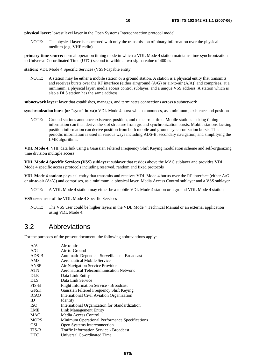**physical layer:** lowest level layer in the Open Systems Interconnection protocol model

NOTE: The physical layer is concerned with only the transmission of binary information over the physical medium (e.g. VHF radio).

**primary time source:** normal operation timing mode in which a VDL Mode 4 station maintains time synchronization to Universal Co-ordinated Time (UTC) second to within a two-sigma value of 400 ns

**station:** VDL Mode 4 Specific Services (VSS)-capable entity

NOTE: A station may be either a mobile station or a ground station. A station is a physical entity that transmits and receives bursts over the RF interface (either air/ground (A/G) or air-to-air (A/A)) and comprises, at a minimum: a physical layer, media access control sublayer, and a unique VSS address. A station which is also a DLS station has the same address.

**subnetwork layer:** layer that establishes, manages, and terminates connections across a subnetwork

**synchronization burst (or "sync" burst):** VDL Mode 4 burst which announces, as a minimum, existence and position

NOTE: Ground stations announce existence, position, and the current time. Mobile stations lacking timing information can then derive the slot structure from ground synchronization bursts. Mobile stations lacking position information can derive position from both mobile and ground synchronization bursts. This periodic information is used in various ways including ADS-B, secondary navigation, and simplifying the LME algorithms.

**VDL Mode 4:** VHF data link using a Gaussian Filtered Frequency Shift Keying modulation scheme and self-organizing time division multiple access

**VDL Mode 4 Specific Services (VSS) sublayer:** sublayer that resides above the MAC sublayer and provides VDL Mode 4 specific access protocols including reserved, random and fixed protocols

**VDL Mode 4 station:** physical entity that transmits and receives VDL Mode 4 bursts over the RF interface (either A/G or air-to-air (A/A)) and comprises, as a minimum: a physical layer, Media Access Control sublayer and a VSS sublayer

NOTE: A VDL Mode 4 station may either be a mobile VDL Mode 4 station or a ground VDL Mode 4 station.

**VSS user:** user of the VDL Mode 4 Specific Services

NOTE: The VSS user could be higher layers in the VDL Mode 4 Technical Manual or an external application using VDL Mode 4.

### 3.2 Abbreviations

For the purposes of the present document, the following abbreviations apply:

| A/A         | Air-to-air                                     |
|-------------|------------------------------------------------|
| A/G         | Air-to-Ground                                  |
| $ADS-B$     | Automatic Dependent Surveillance - Broadcast   |
| <b>AMS</b>  | <b>Aeronautical Mobile Service</b>             |
| <b>ANSP</b> | Air Navigation Service Provider                |
| <b>ATN</b>  | <b>Aeronautical Telecommunication Network</b>  |
| <b>DLE</b>  | Data Link Entity                               |
| <b>DLS</b>  | Data Link Service                              |
| $FIS-B$     | <b>Flight Information Service - Broadcast</b>  |
| <b>GFSK</b> | Gaussian Filtered Frequency Shift Keying       |
| <b>ICAO</b> | International Civil Aviation Organization      |
| ID.         | Identity                                       |
| <b>ISO</b>  | International Organization for Standardization |
| LME         | Link Management Entity                         |
| <b>MAC</b>  | Media Access Control                           |
| <b>MOPS</b> | Minimum Operational Performance Specifications |
| <b>OSI</b>  | Open Systems Interconnection                   |
| TIS-B       | <b>Traffic Information Service - Broadcast</b> |
| <b>UTC</b>  | Universal Co-ordinated Time                    |
|             |                                                |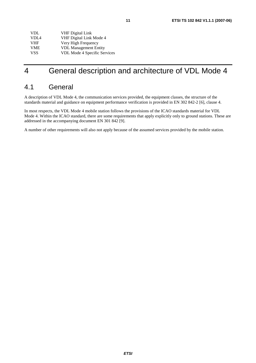| <b>VDL</b>       | <b>VHF</b> Digital Link      |
|------------------|------------------------------|
| VDI <sub>4</sub> | VHF Digital Link Mode 4      |
| <b>VHF</b>       | Very High Frequency          |
| <b>VME</b>       | <b>VDL Management Entity</b> |
| <b>VSS</b>       | VDL Mode 4 Specific Services |

### 4 General description and architecture of VDL Mode 4

### 4.1 General

A description of VDL Mode 4, the communication services provided, the equipment classes, the structure of the standards material and guidance on equipment performance verification is provided in EN 302 842-2 [6], clause 4.

In most respects, the VDL Mode 4 mobile station follows the provisions of the ICAO standards material for VDL Mode 4. Within the ICAO standard, there are some requirements that apply explicitly only to ground stations. These are addressed in the accompanying document EN 301 842 [9].

A number of other requirements will also not apply because of the assumed services provided by the mobile station.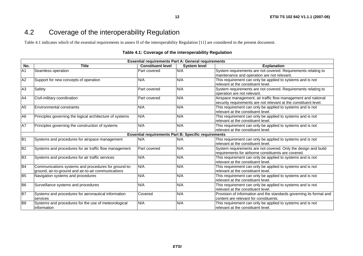### <span id="page-11-0"></span>4.2 Coverage of the interoperability Regulation

Table 4.1 indicates which of the essential requirements in annex II of the interoperability Regulation [11] are considered in the present document.

#### **Table 4.1: Coverage of the interoperability Regulation**

|                 | <b>Essential requirements Part A: General requirements</b> |                                                             |                     |                                                                     |  |  |  |
|-----------------|------------------------------------------------------------|-------------------------------------------------------------|---------------------|---------------------------------------------------------------------|--|--|--|
| No.             | <b>Title</b>                                               | <b>Constituent level</b>                                    | <b>System level</b> | <b>Explanation</b>                                                  |  |  |  |
| A <sub>1</sub>  | Seamless operation                                         | Part covered                                                | N/A                 | System requirements are not covered. Requirements relating to       |  |  |  |
|                 |                                                            |                                                             |                     | maintenance and operation are not relevant.                         |  |  |  |
| A2              | Support for new concepts of operation                      | N/A                                                         | N/A                 | This requirement can only be applied to systems and is not          |  |  |  |
|                 |                                                            |                                                             |                     | relevant at the constituent level.                                  |  |  |  |
| A <sub>3</sub>  | Safety                                                     | Part covered                                                | N/A                 | System requirements are not covered. Requirements relating to       |  |  |  |
|                 |                                                            |                                                             |                     | operation are not relevant.                                         |  |  |  |
| A4              | Civil-military coordination                                | Part covered                                                | N/A                 | Airspace management, air traffic flow management and national       |  |  |  |
|                 |                                                            |                                                             |                     | security requirements are not relevant at the constituent level.    |  |  |  |
| A <sub>5</sub>  | Environmental constraints                                  | N/A                                                         | N/A                 | This requirement can only be applied to systems and is not          |  |  |  |
|                 |                                                            |                                                             |                     | relevant at the constituent level.                                  |  |  |  |
| A <sub>6</sub>  | Principles governing the logical architecture of systems   | N/A                                                         | N/A                 | This requirement can only be applied to systems and is not          |  |  |  |
|                 |                                                            |                                                             |                     | relevant at the constituent level.                                  |  |  |  |
| A7              | Principles governing the construction of systems           | N/A                                                         | N/A                 | This requirement can only be applied to systems and is not          |  |  |  |
|                 |                                                            |                                                             |                     | relevant at the constituent level.                                  |  |  |  |
|                 |                                                            | <b>Essential requirements Part B: Specific requirements</b> |                     |                                                                     |  |  |  |
| B <sub>1</sub>  | Systems and procedures for airspace management             | N/A                                                         | N/A                 | This requirement can only be applied to systems and is not          |  |  |  |
|                 |                                                            |                                                             |                     | relevant at the constituent level.                                  |  |  |  |
| B <sub>2</sub>  | Systems and procedures for air traffic flow management     | Part covered                                                | N/A                 | System requirements are not covered. Only the design and build      |  |  |  |
|                 |                                                            |                                                             |                     | requirements for airborne constituents are covered.                 |  |  |  |
| B <sub>3</sub>  | Systems and procedures for air traffic services            | N/A                                                         | N/A                 | This requirement can only be applied to systems and is not          |  |  |  |
|                 |                                                            |                                                             |                     | relevant at the constituent level.                                  |  |  |  |
| B <sub>4</sub>  | Communications systems and procedures for ground-to-       | N/A                                                         | N/A                 | This requirement can only be applied to systems and is not          |  |  |  |
|                 | ground, air-to-ground and air-to-air communications        |                                                             |                     | relevant at the constituent level.                                  |  |  |  |
| B <sub>5</sub>  | Navigation systems and procedures                          | N/A                                                         | N/A                 | This requirement can only be applied to systems and is not          |  |  |  |
|                 |                                                            |                                                             |                     | relevant at the constituent level.                                  |  |  |  |
| B <sub>6</sub>  | Surveillance systems and procedures                        | N/A                                                         | N/A                 | This requirement can only be applied to systems and is not          |  |  |  |
|                 |                                                            |                                                             |                     | relevant at the constituent level.                                  |  |  |  |
| $\overline{B7}$ | Systems and procedures for aeronautical information        | Covered                                                     | N/A                 | Provision of information and the standards governing its format and |  |  |  |
|                 | services                                                   |                                                             |                     | content are relevant for constituents.                              |  |  |  |
| B <sub>8</sub>  | Systems and procedures for the use of meteorological       | N/A                                                         | N/A                 | This requirement can only be applied to systems and is not          |  |  |  |
|                 | information                                                |                                                             |                     | relevant at the constituent level.                                  |  |  |  |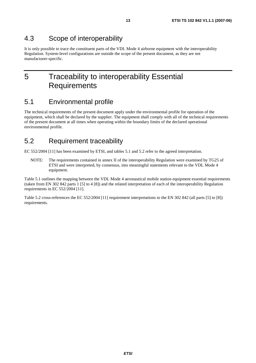### 4.3 Scope of interoperability

It is only possible to trace the constituent parts of the VDL Mode 4 airborne equipment with the interoperability Regulation. System-level configurations are outside the scope of the present document, as they are not manufacturer-specific.

### 5 Traceability to interoperability Essential **Requirements**

### 5.1 Environmental profile

The technical requirements of the present document apply under the environmental profile for operation of the equipment, which shall be declared by the supplier. The equipment shall comply with all of the technical requirements of the present document at all times when operating within the boundary limits of the declared operational environmental profile.

### 5.2 Requirement traceability

EC 552/2004 [11] has been examined by ETSI, and tables 5.1 and 5.2 refer to the agreed interpretation.

NOTE: The requirements contained in annex II of the interoperability Regulation were examined by TG25 of ETSI and were interpreted, by consensus, into meaningful statements relevant to the VDL Mode 4 equipment.

Table 5.1 outlines the mapping between the VDL Mode 4 aeronautical mobile station equipment essential requirements (taken from EN 302 842 parts 1 [5] to 4 [8]) and the related interpretation of each of the interoperability Regulation requirements in EC 552/2004 [11].

Table 5.2 cross-references the EC 552/2004 [11] requirement interpretations to the EN 302 842 (all parts [5] to [8]) requirements.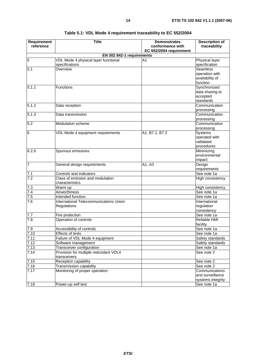<span id="page-13-0"></span>

| Requirement                                                              | <b>Title</b>                                    | <b>Demonstrates</b>                         | <b>Description of</b>              |  |  |  |
|--------------------------------------------------------------------------|-------------------------------------------------|---------------------------------------------|------------------------------------|--|--|--|
| reference                                                                |                                                 | conformance with<br>EC 552/2004 requirement | traceability                       |  |  |  |
| EN 302 842-1 requirements                                                |                                                 |                                             |                                    |  |  |  |
| 5<br><b>Physical layer</b><br>VDL Mode 4 physical layer functional<br>A1 |                                                 |                                             |                                    |  |  |  |
|                                                                          | specifications                                  |                                             | specification                      |  |  |  |
| 5.1                                                                      | Overview                                        |                                             | <b>Seamless</b>                    |  |  |  |
|                                                                          |                                                 |                                             | operation with                     |  |  |  |
|                                                                          |                                                 |                                             | availability of                    |  |  |  |
|                                                                          |                                                 |                                             | function                           |  |  |  |
| 5.1.1                                                                    | <b>Functions</b>                                |                                             | Synchronized                       |  |  |  |
|                                                                          |                                                 |                                             | data sharing to                    |  |  |  |
|                                                                          |                                                 |                                             | accepted                           |  |  |  |
|                                                                          |                                                 |                                             | standards                          |  |  |  |
| 5.1.2                                                                    | Data reception                                  |                                             | Communication                      |  |  |  |
|                                                                          |                                                 |                                             | processing                         |  |  |  |
| 5.1.3                                                                    | Data transmission                               |                                             | Communication                      |  |  |  |
|                                                                          |                                                 |                                             | processing                         |  |  |  |
| 5.2                                                                      | Modulation scheme                               |                                             | Communication                      |  |  |  |
|                                                                          |                                                 |                                             | processing                         |  |  |  |
| 6                                                                        | VDL Mode 4 equipment requirements               | A1, B7.1, B7.2                              | Systems                            |  |  |  |
|                                                                          |                                                 |                                             | operated with                      |  |  |  |
|                                                                          |                                                 |                                             | validated                          |  |  |  |
| 6.2.6                                                                    |                                                 |                                             | procedures                         |  |  |  |
|                                                                          | Spurious emissions                              |                                             | Minimizing<br>environmental        |  |  |  |
|                                                                          |                                                 |                                             | impact                             |  |  |  |
| $\overline{7}$                                                           | General design requirements                     | A1, A3                                      | Design                             |  |  |  |
|                                                                          |                                                 |                                             | requirements                       |  |  |  |
| 7.1                                                                      | Controls and indicators                         |                                             | See note 1a                        |  |  |  |
| 7.2                                                                      | Class of emission and modulation                |                                             | High consistency                   |  |  |  |
|                                                                          | characteristics                                 |                                             |                                    |  |  |  |
| 7.3                                                                      | Warm up                                         |                                             | High consistency                   |  |  |  |
| 7.4                                                                      | Airworthiness                                   |                                             | See note 1a                        |  |  |  |
| 7.5                                                                      | Intended function                               |                                             | See note 1a                        |  |  |  |
| 7.6                                                                      | International Telecommunications Union          |                                             | International                      |  |  |  |
|                                                                          | Regulations                                     |                                             | regulation                         |  |  |  |
|                                                                          |                                                 |                                             | consistency                        |  |  |  |
| 7.7                                                                      | Fire protection                                 |                                             | See note 1a                        |  |  |  |
| 7.8                                                                      | Operation of controls                           |                                             | Reliable HMI                       |  |  |  |
|                                                                          |                                                 |                                             | facility                           |  |  |  |
| 7.9                                                                      | Accessibility of controls                       |                                             | See note 1a                        |  |  |  |
| 7.10                                                                     | Effects of tests                                |                                             | See note 1a                        |  |  |  |
| 7.11                                                                     | Failure of VDL Mode 4 equipment                 |                                             | Safety standards                   |  |  |  |
| 7.12                                                                     | Software management                             |                                             | Safety standards                   |  |  |  |
| 7.13                                                                     | Transceiver configuration                       |                                             | See note 1a                        |  |  |  |
| 7.14                                                                     | Provision for multiple redundant VDL4           |                                             | See note 2                         |  |  |  |
|                                                                          | transceivers                                    |                                             |                                    |  |  |  |
| 7.15                                                                     | Reception capability<br>Transmission capability |                                             | See note 2<br>See note 2           |  |  |  |
| 7.16                                                                     | Monitoring of proper operation                  |                                             |                                    |  |  |  |
| 7.17                                                                     |                                                 |                                             | Communications<br>and surveillance |  |  |  |
|                                                                          |                                                 |                                             | systems integrity                  |  |  |  |
| 7.18                                                                     | Power-up self test                              |                                             | See note 1a                        |  |  |  |
|                                                                          |                                                 |                                             |                                    |  |  |  |

#### **Table 5.1: VDL Mode 4 requirement traceability to EC 552/2004**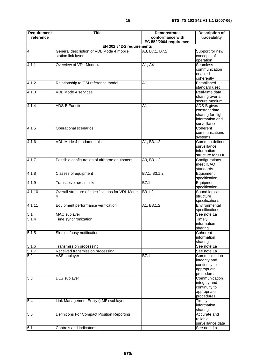| Requirement<br>reference | <b>Title</b>                                                   | <b>Demonstrates</b><br>conformance with<br>EC 552/2004 requirement | <b>Description of</b><br>traceability                                                       |
|--------------------------|----------------------------------------------------------------|--------------------------------------------------------------------|---------------------------------------------------------------------------------------------|
|                          | EN 302 842-2 requirements                                      |                                                                    |                                                                                             |
| $\overline{4}$           | General description of VDL Mode 4 mobile<br>station link layer | A3, B7.1, B7.2                                                     | Support for new<br>concepts of<br>operation                                                 |
| 4.1.1                    | Overview of VDL Mode 4                                         | A1, A4                                                             | <b>Seamless</b><br>communication<br>enabled                                                 |
| 4.1.2                    | Relationship to OSI reference model                            | A <sub>1</sub>                                                     | coherently<br>Established<br>standard used                                                  |
| 4.1.3                    | <b>VDL Mode 4 services</b>                                     |                                                                    | Real-time data<br>sharing over a<br>secure medium                                           |
| 4.1.4                    | <b>ADS-B Function</b>                                          | A <sub>1</sub>                                                     | ADS-B gives<br>constant data<br>sharing for flight<br>information and<br>surveillance       |
| 4.1.5                    | Operational scenarios                                          |                                                                    | Coherent<br>communications<br>systems                                                       |
| 4.1.6                    | VDL Mode 4 fundamentals                                        | A1, B3.1.2                                                         | Common defined<br>surveillance<br>information<br>structure for FDP                          |
| 4.1.7                    | Possible configuration of airborne equipment                   | A3, B3.1.2                                                         | Configurations<br>meet ICAO<br>standards                                                    |
| 4.1.8                    | Classes of equipment                                           | B7.1, B3.1.2                                                       | Equipment<br>specification                                                                  |
| 4.1.9                    | Transceiver cross-links                                        | $\overline{B7.1}$                                                  | Equipment<br>specification                                                                  |
| 4.1.10                   | Overall structure of specifications for VDL Mode<br>4          | B3.1.2                                                             | Sound logical<br>structure<br>specifications                                                |
| 4.1.11                   | Equipment performance verification                             | A1, B3.1.2                                                         | Environmental<br>specifications                                                             |
| 5.1                      | MAC sublayer                                                   |                                                                    | See note 1a                                                                                 |
| 5.1.4                    | Time synchronization                                           |                                                                    | Timely<br>information<br>sharing                                                            |
| 5.1.5                    | Slot idle/busy notification                                    |                                                                    | Coherent<br>information<br>sharing                                                          |
| 5.1.6                    | Transmission processing                                        |                                                                    | See note 1a                                                                                 |
| 5.1.7<br>5.2             | Received transmission processing<br>VSS sublayer               | B7.1                                                               | See note 1a<br>Communication<br>integrity and<br>continuity to<br>appropriate<br>procedures |
| 5.3                      | DLS sublayer                                                   |                                                                    | Communication<br>integrity and<br>continuity to<br>appropriate<br>procedures                |
| 5.4                      | Link Management Entity (LME) sublayer                          |                                                                    | Timely<br>information<br>sharing                                                            |
| 5.6                      | Definitions For Compact Position Reporting                     |                                                                    | Accurate and<br>reliable<br>surveillance data                                               |
| 6.1                      | Controls and indicators                                        |                                                                    | See note 1a                                                                                 |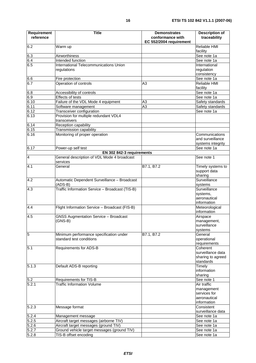| <b>Requirement</b>      | <b>Title</b>                                                             | <b>Demonstrates</b>                         | <b>Description of</b>                        |
|-------------------------|--------------------------------------------------------------------------|---------------------------------------------|----------------------------------------------|
| reference               |                                                                          | conformance with<br>EC 552/2004 requirement | traceability                                 |
| 6.2                     | Warm up                                                                  |                                             | Reliable HMI<br>facility                     |
| 6.3                     | Airworthiness                                                            |                                             | See note 1a                                  |
| 6.4                     | Intended function                                                        |                                             | See note 1a                                  |
| 6.5                     | International Telecommunications Union                                   |                                             | International                                |
|                         | regulations                                                              |                                             | regulation<br>consistency                    |
| 6.6                     | Fire protection                                                          |                                             | See note 1a                                  |
| 6.7                     | Operation of controls                                                    | A3                                          | Reliable HMI<br>facility                     |
| 6.8                     | Accessibility of controls                                                |                                             | See note 1a                                  |
| 6.9                     | Effects of tests                                                         |                                             | See note 1a                                  |
| 6.10                    | Failure of the VDL Mode 4 equipment                                      | A3                                          | Safety standards                             |
| 6.11                    | Software management                                                      | A <sub>3</sub>                              | Safety standards                             |
| 6.12                    | Transceiver configuration                                                |                                             | See note 1a                                  |
| 6.13                    | Provision for multiple redundant VDL4<br>transceivers                    |                                             |                                              |
| 6.14                    | Reception capability                                                     |                                             |                                              |
| 6.15                    | Transmission capability                                                  |                                             |                                              |
| 6.16                    | Monitoring of proper operation                                           |                                             | Communications                               |
|                         |                                                                          |                                             | and surveillance                             |
| 6.17                    |                                                                          |                                             | systems integrity                            |
|                         | Power-up self test                                                       |                                             | See note 1a                                  |
| $\overline{\mathbf{4}}$ | EN 302 842-3 requirements<br>General description of VDL Mode 4 broadcast |                                             | See note 1                                   |
|                         | services                                                                 |                                             |                                              |
| 4.1                     | General                                                                  | B7.1, B7.2                                  | Timely systems to<br>support data<br>sharing |
| 4.2                     | Automatic Dependent Surveillance - Broadcast                             |                                             | Surveillance                                 |
|                         | $(ADS-B)$                                                                |                                             | systems                                      |
| 4.3                     | Traffic Information Service - Broadcast (TIS-B)                          |                                             | Surveillance                                 |
|                         |                                                                          |                                             | systems,                                     |
|                         |                                                                          |                                             | aeronautical<br>information                  |
| 4.4                     | Flight Information Service - Broadcast (FIS-B)                           |                                             | Meteorological<br>information                |
| 4.5                     | <b>GNSS Augmentation Service - Broadcast</b>                             |                                             | Airspace                                     |
|                         | $(GNS-B)$                                                                |                                             | management,                                  |
|                         |                                                                          |                                             | surveillance                                 |
|                         |                                                                          |                                             | systems                                      |
| $\overline{5}$          | Minimum performance specification under                                  | B7.1, B7.2                                  | General                                      |
|                         | standard test conditions                                                 |                                             | operational                                  |
|                         |                                                                          |                                             | requirements                                 |
| 5.1                     | Requirements for ADS-B                                                   |                                             | Coherent                                     |
|                         |                                                                          |                                             | surveillance data<br>sharing to agreed       |
|                         |                                                                          |                                             | standards                                    |
| 5.1.3                   | Default ADS-B reporting                                                  |                                             | Timely                                       |
|                         |                                                                          |                                             | information                                  |
|                         |                                                                          |                                             | sharing                                      |
| 5.2                     | Requirements for TIS-B                                                   |                                             | See note 1                                   |
| 5.2.1                   | <b>Traffic Information Volume</b>                                        |                                             | Air traffic                                  |
|                         |                                                                          |                                             | management                                   |
|                         |                                                                          |                                             | services for                                 |
|                         |                                                                          |                                             | aeronautical                                 |
|                         |                                                                          |                                             | information                                  |
| 5.2.3                   | Message format                                                           |                                             | Consistent<br>surveillance data              |
| 5.2.4                   | Management message                                                       |                                             | See note 1a                                  |
| 5.2.5                   | Aircraft target messages (airborne TIV)                                  |                                             | See note 1a                                  |
| 5.2.6                   | Aircraft target messages (ground TIV)                                    |                                             | See note 1a                                  |
| 5.2.7                   | Ground vehicle target messages (ground TIV)                              |                                             | See note 1a                                  |
| 5.2.8                   | TIS-B offset encoding                                                    |                                             | See note 1a                                  |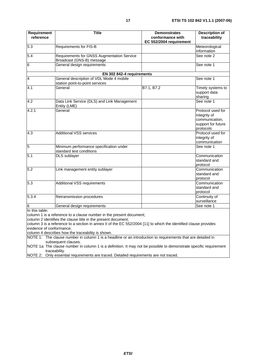| Requirement<br>reference | <b>Title</b>                                                                                                                                                                                                                                             | <b>Demonstrates</b><br>conformance with<br>EC 552/2004 requirement | <b>Description of</b><br>traceability                                                  |
|--------------------------|----------------------------------------------------------------------------------------------------------------------------------------------------------------------------------------------------------------------------------------------------------|--------------------------------------------------------------------|----------------------------------------------------------------------------------------|
| 5.3                      | <b>Requirements for FIS-B</b>                                                                                                                                                                                                                            |                                                                    | Meteorological<br>information                                                          |
| 5.4                      | Requirements for GNSS Augmentation Service<br>Broadcast (GNS-B) message                                                                                                                                                                                  |                                                                    | See note 2                                                                             |
| 6                        | General design requirements                                                                                                                                                                                                                              |                                                                    | See note 1                                                                             |
|                          | EN 302 842-4 requirements                                                                                                                                                                                                                                |                                                                    |                                                                                        |
| $\overline{4}$           | General description of VDL Mode 4 mobile<br>station point-to-point services                                                                                                                                                                              |                                                                    | See note 1                                                                             |
| 4.1                      | General                                                                                                                                                                                                                                                  | B7.1, B7.2                                                         | Timely systems to<br>support data<br>sharing                                           |
| 4.2                      | Data Link Service (DLS) and Link Management<br>Entity (LME)                                                                                                                                                                                              |                                                                    | See note 1                                                                             |
| 4.2.1                    | General                                                                                                                                                                                                                                                  |                                                                    | Protocol used for<br>integrity of<br>communication,<br>support for future<br>protocols |
| 4.3                      | <b>Additional VSS services</b>                                                                                                                                                                                                                           |                                                                    | Protocol used for<br>integrity of<br>communication                                     |
| $\overline{5}$           | Minimum performance specification under<br>standard test conditions                                                                                                                                                                                      |                                                                    | See note 1                                                                             |
| 5.1                      | <b>DLS</b> sublayer                                                                                                                                                                                                                                      |                                                                    | Communication<br>standard and<br>protocol                                              |
| 5.2                      | Link management entity sublayer                                                                                                                                                                                                                          |                                                                    | Communication<br>standard and<br>protocol                                              |
| 5.3                      | <b>Additional VSS requirements</b>                                                                                                                                                                                                                       |                                                                    | Communication<br>standard and<br>protocol                                              |
| 5.3.4                    | Retransmission procedures                                                                                                                                                                                                                                |                                                                    | Continuity of<br>surveillance                                                          |
| 6                        | General design requirements                                                                                                                                                                                                                              |                                                                    | See note 1                                                                             |
| In this table:           | column 1 is a reference to a clause number in the present document;<br>column 2 identifies the clause title in the present document;<br>column 3 is a reference to a section in annex II of the EC 552/2004 [11] to which the identified clause provides |                                                                    |                                                                                        |

evidence of conformance;

column 4 describes how the traceability is shown.

NOTE 1: The clause number in column 1 is a headline or an introduction to requirements that are detailed in subsequent clauses.

NOTE 1a: The clause number in column 1 is a definition. It may not be possible to demonstrate specific requirement traceability.

NOTE 2: Only essential requirements are traced. Detailed requirements are not traced.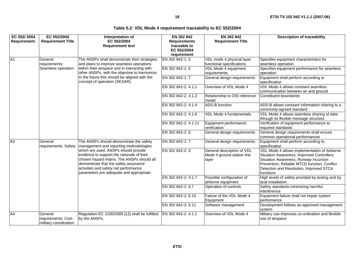|  |  | Table 5.2: VDL Mode 4 requirement traceability to EC 552/2004 |
|--|--|---------------------------------------------------------------|
|--|--|---------------------------------------------------------------|

<span id="page-17-0"></span>

| EC 552/2004    | EC 552/2004                                              | Interpretation of<br>EC 552/2004                                                                                                                                                                                                                               | EN 302 842                                                        | EN 302 842                                                        | <b>Description of traceability</b>                                                                                                                                                                                                         |
|----------------|----------------------------------------------------------|----------------------------------------------------------------------------------------------------------------------------------------------------------------------------------------------------------------------------------------------------------------|-------------------------------------------------------------------|-------------------------------------------------------------------|--------------------------------------------------------------------------------------------------------------------------------------------------------------------------------------------------------------------------------------------|
| Requirement.   | <b>Requirement Title</b>                                 | <b>Requirement text</b>                                                                                                                                                                                                                                        | <b>Requirements</b><br>traceable to<br>EC 552/2004<br>requirement | <b>Requirement Title</b>                                          |                                                                                                                                                                                                                                            |
| A <sub>1</sub> | General<br>requirements:                                 | The ANSPs shall demonstrate their strategies<br>and plans to improve seamless operations                                                                                                                                                                       | EN 302 842-1:5                                                    | VDL mode 4 physical layer<br>functional specifications            | Specifies equipment characteristics for<br>seamless operation                                                                                                                                                                              |
|                | Seamless operation                                       | within their airspace and in interacting with<br>other ANSPs, with the objective to harmonize.                                                                                                                                                                 | EN 302 842-1:6                                                    | VDL Mode 4 equipment<br>requirements                              | Specifies equipment performance for seamless<br><b>loperation</b>                                                                                                                                                                          |
|                |                                                          | In the future this should be aligned with the<br>concept of operation (SESAR).                                                                                                                                                                                 | EN 302 842-1: 7                                                   | General design requirements                                       | Equipment shall perform according to<br>specification                                                                                                                                                                                      |
|                |                                                          |                                                                                                                                                                                                                                                                | EN 302 842-2: 4.1.1                                               | Overview of VDL Mode 4                                            | VDL Mode 4 allows constant seamless<br>communication between air and ground                                                                                                                                                                |
|                |                                                          |                                                                                                                                                                                                                                                                | EN 302 842-2: 4.1.2                                               | Relationship to OSI reference<br>model                            | Constituent boundaries                                                                                                                                                                                                                     |
|                |                                                          |                                                                                                                                                                                                                                                                | EN 302 842-2: 4.1.4                                               | <b>ADS-B</b> function                                             | ADS-B allows constant information sharing to a<br>commonly-agreed standard                                                                                                                                                                 |
|                |                                                          |                                                                                                                                                                                                                                                                | EN 302 842-2: 4.1.6                                               | VDL Mode 4 fundamentals                                           | VDL Mode 4 allows seamless sharing of data<br>through its flexible message structure                                                                                                                                                       |
|                |                                                          |                                                                                                                                                                                                                                                                | EN 302 842-2: 4.1.11                                              | Equipment performance<br>verification                             | Verification of equipment performance to<br>required standards                                                                                                                                                                             |
|                |                                                          |                                                                                                                                                                                                                                                                | EN 302 842-2: 6                                                   | General design requirements                                       | General design requirements shall ensure<br>common operational performances                                                                                                                                                                |
| A3             | General<br>requirements: Safety                          | The ANSPs should demonstrate the safety<br>management and reporting methodologies                                                                                                                                                                              | EN 302 842-1: 7                                                   | General design requirements                                       | Equipment shall perform according to<br>specification                                                                                                                                                                                      |
|                |                                                          | which are used. ANSPs should provide<br>evidence to support the rationale of their<br>chosen hazard matrix. The ANSPs should all<br>demonstrate that the safety assurance<br>activities and safety net performance<br>parameters are adequate and appropriate. | EN 302 842-2: 4                                                   | General description of VDL<br>Mode 4 ground station link<br>layer | VDL Mode 4 allows implementation of Airborne<br>Situation Awareness, Improved Controllers<br>Situation Awareness, Runway Incursion<br>Prevention, Reliable MTCD function, Conflict<br>Detection and Resolution, Improved STCA<br>functions |
|                |                                                          |                                                                                                                                                                                                                                                                | EN 302 842-2: 4.1.7                                               | Possible configuration of<br>airborne equipment                   | High levels of safety provided by testing and by<br>dual installation                                                                                                                                                                      |
|                |                                                          |                                                                                                                                                                                                                                                                | EN 302 842-2: 6.7                                                 | Operation of controls                                             | Safety standards minimizing harmful<br>interference                                                                                                                                                                                        |
|                |                                                          |                                                                                                                                                                                                                                                                | EN 302 842-2: 6.10                                                | Failure of the VDL Mode 4<br>Equipment                            | Equipment failure shall not impair system<br>performance                                                                                                                                                                                   |
|                |                                                          |                                                                                                                                                                                                                                                                | EN 302 842-2: 6.11                                                | Software management                                               | Development follows an approved management<br>system                                                                                                                                                                                       |
| A4             | General<br>requirements: Civil-<br>military coordination | Regulation EC 2150/2005 [12] shall be fulfilled EN 302 842-2: 4.1.1<br>by the ANSPs.                                                                                                                                                                           |                                                                   | Overview of VDL Mode 4                                            | Military use improves co-ordination and flexible<br>use of airspace                                                                                                                                                                        |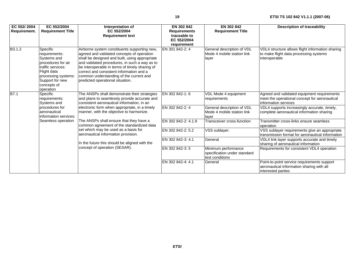| EC 552/2004<br>Requirement. | EC 552/2004<br><b>Requirement Title</b>                                                                                                                                                                                                                                                                                                                                                                                                                                                                                                                                                                                       | Interpretation of<br>EC 552/2004<br><b>Requirement text</b>                                                                                                                                                                                                                                                                                                                | EN 302 842<br><b>Requirements</b><br>traceable to<br>EC 552/2004<br>requirement | EN 302 842<br><b>Requirement Title</b>                            | <b>Description of traceability</b>                                                                                    |
|-----------------------------|-------------------------------------------------------------------------------------------------------------------------------------------------------------------------------------------------------------------------------------------------------------------------------------------------------------------------------------------------------------------------------------------------------------------------------------------------------------------------------------------------------------------------------------------------------------------------------------------------------------------------------|----------------------------------------------------------------------------------------------------------------------------------------------------------------------------------------------------------------------------------------------------------------------------------------------------------------------------------------------------------------------------|---------------------------------------------------------------------------------|-------------------------------------------------------------------|-----------------------------------------------------------------------------------------------------------------------|
| B3.1.2                      | Specific<br>requirements:<br>Systems and<br>procedures for air<br>traffic services:<br>Flight data<br>processing systems:<br>Support for new<br>concepts of<br>operation                                                                                                                                                                                                                                                                                                                                                                                                                                                      | Airborne system constituents supporting new,<br>agreed and validated concepts of operation<br>shall be designed and built, using appropriate<br>and validated procedures, in such a way as to<br>be interoperable in terms of timely sharing of<br>correct and consistent information and a<br>common understanding of the current and<br>predicted operational situation. | EN 301 842-2: 4                                                                 | General description of VDL<br>Mode 4 mobile station link<br>layer | VDL4 structure allows flight information sharing<br>to make flight data processing systems<br>interoperable           |
| $\overline{B7.1}$           | Specific<br>The ANSPs shall demonstrate their strategies<br>and plans to seamlessly provide accurate and<br>requirements:<br>consistent aeronautical information, in an<br>Systems and<br>electronic form when appropriate, in a timely<br>procedures for<br>aeronautical<br>manner, with the objective to harmonize.<br>information services:<br>The ANSPs shall ensure that they have a<br>Seamless operation<br>common agreement of the standardized data<br>set which may be used as a basis for<br>aeronautical information provision.<br>In the future this should be aligned with the<br>concept of operation (SESAR). |                                                                                                                                                                                                                                                                                                                                                                            | EN 302 842-1:6                                                                  | VDL Mode 4 equipment<br>requirements                              | Agreed and validated equipment requirements<br>meet the operational concept for aeronautical<br>linformation services |
|                             |                                                                                                                                                                                                                                                                                                                                                                                                                                                                                                                                                                                                                               |                                                                                                                                                                                                                                                                                                                                                                            | EN 302 842-2: 4                                                                 | General description of VDL<br>Mode 4 mobile station link<br>layer | VDL4 supports increasingly accurate, timely,<br>complete aeronautical information sharing                             |
|                             |                                                                                                                                                                                                                                                                                                                                                                                                                                                                                                                                                                                                                               |                                                                                                                                                                                                                                                                                                                                                                            | EN 302 842-2: 4.1.9                                                             | Transceiver cross-function                                        | Transmitter cross-links ensure seamless<br>operation                                                                  |
|                             |                                                                                                                                                                                                                                                                                                                                                                                                                                                                                                                                                                                                                               |                                                                                                                                                                                                                                                                                                                                                                            | EN 302 842-2: 5.2                                                               | VSS sublayer.                                                     | VSS sublayer requirements give an appropriate<br>transmission format for aeronautical information                     |
|                             |                                                                                                                                                                                                                                                                                                                                                                                                                                                                                                                                                                                                                               |                                                                                                                                                                                                                                                                                                                                                                            | EN 302 842-3: 4.1                                                               | General                                                           | VDL4 link layer supports accurate and timely<br>sharing of aeronautical information                                   |
|                             |                                                                                                                                                                                                                                                                                                                                                                                                                                                                                                                                                                                                                               | EN 302 842-3: 5                                                                                                                                                                                                                                                                                                                                                            | Minimum performance<br>specification under standard<br>test conditions          | Requirements for consistent VDL4 operation                        |                                                                                                                       |
|                             |                                                                                                                                                                                                                                                                                                                                                                                                                                                                                                                                                                                                                               |                                                                                                                                                                                                                                                                                                                                                                            | EN 302 842-4: 4.1                                                               | General                                                           | Point-to-point service requirements support<br>aeronautical information sharing with all<br>interested parties        |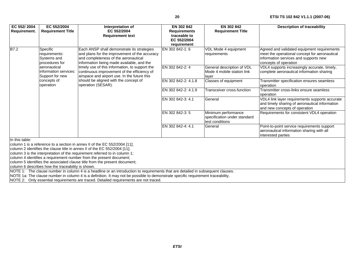| EC 552/2004                                                                                                                                                                                                                | EC 552/2004                                                                                                                                        | Interpretation of                                                                                                                                                                                                                                                                                                                                                                                | EN 302 842          | EN 302 842                                                             | <b>Description of traceability</b>                                                                                                                             |  |  |
|----------------------------------------------------------------------------------------------------------------------------------------------------------------------------------------------------------------------------|----------------------------------------------------------------------------------------------------------------------------------------------------|--------------------------------------------------------------------------------------------------------------------------------------------------------------------------------------------------------------------------------------------------------------------------------------------------------------------------------------------------------------------------------------------------|---------------------|------------------------------------------------------------------------|----------------------------------------------------------------------------------------------------------------------------------------------------------------|--|--|
| Requirement.                                                                                                                                                                                                               | <b>Requirement Title</b>                                                                                                                           | EC 552/2004                                                                                                                                                                                                                                                                                                                                                                                      | <b>Requirements</b> | <b>Requirement Title</b>                                               |                                                                                                                                                                |  |  |
|                                                                                                                                                                                                                            |                                                                                                                                                    | <b>Requirement text</b>                                                                                                                                                                                                                                                                                                                                                                          | traceable to        |                                                                        |                                                                                                                                                                |  |  |
|                                                                                                                                                                                                                            |                                                                                                                                                    |                                                                                                                                                                                                                                                                                                                                                                                                  | EC 552/2004         |                                                                        |                                                                                                                                                                |  |  |
|                                                                                                                                                                                                                            |                                                                                                                                                    |                                                                                                                                                                                                                                                                                                                                                                                                  | requirement         |                                                                        |                                                                                                                                                                |  |  |
| B7.2                                                                                                                                                                                                                       | Specific<br>requirements:<br>Systems and<br>procedures for<br>aeronautical<br>information services:<br>Support for new<br>concepts of<br>operation | Each ANSP shall demonstrate its strategies<br>and plans for the improvement of the accuracy<br>and completeness of the aeronautical<br>information being made available, and the<br>timely use of this information, to support the<br>continuous improvement of the efficiency of<br>airspace and airport use. In the future this<br>should be aligned with the concept of<br>operation (SESAR). | EN 302 842-1:6      | VDL Mode 4 equipment<br>requirements                                   | Agreed and validated equipment requirements<br>meet the operational concept for aeronautical<br>information services and supports new<br>concepts of operation |  |  |
|                                                                                                                                                                                                                            |                                                                                                                                                    |                                                                                                                                                                                                                                                                                                                                                                                                  | EN 302 842-2: 4     | General description of VDL<br>Mode 4 mobile station link<br>layer      | VDL4 supports increasingly accurate, timely,<br>complete aeronautical information sharing                                                                      |  |  |
|                                                                                                                                                                                                                            |                                                                                                                                                    |                                                                                                                                                                                                                                                                                                                                                                                                  | EN 302 842-2: 4.1.8 | Classes of equipment                                                   | Transmitter specification ensures seamless<br>operation                                                                                                        |  |  |
|                                                                                                                                                                                                                            |                                                                                                                                                    |                                                                                                                                                                                                                                                                                                                                                                                                  | EN 302 842-2: 4.1.9 | Transceiver cross-function                                             | Transmitter cross-links ensure seamless<br>operation                                                                                                           |  |  |
|                                                                                                                                                                                                                            |                                                                                                                                                    |                                                                                                                                                                                                                                                                                                                                                                                                  | EN 302 842-3: 4.1   | General                                                                | VDL4 link layer requirements supports accurate<br>and timely sharing of aeronautical information<br>and new concepts of operation                              |  |  |
|                                                                                                                                                                                                                            |                                                                                                                                                    |                                                                                                                                                                                                                                                                                                                                                                                                  | EN 302 842-3: 5     | Minimum performance<br>specification under standard<br>test conditions | Requirements for consistent VDL4 operation                                                                                                                     |  |  |
|                                                                                                                                                                                                                            |                                                                                                                                                    |                                                                                                                                                                                                                                                                                                                                                                                                  | EN 302 842-4: 4.1   | General                                                                | Point-to-point service requirements support<br>aeronautical information sharing with all<br>interested parties                                                 |  |  |
| In this table:                                                                                                                                                                                                             |                                                                                                                                                    |                                                                                                                                                                                                                                                                                                                                                                                                  |                     |                                                                        |                                                                                                                                                                |  |  |
|                                                                                                                                                                                                                            |                                                                                                                                                    | column 1 is a reference to a section in annex II of the EC 552/2004 [11];                                                                                                                                                                                                                                                                                                                        |                     |                                                                        |                                                                                                                                                                |  |  |
|                                                                                                                                                                                                                            |                                                                                                                                                    | column 2 identifies the clause title in annex II of the EC 552/2004 [11];<br>column 3 is the interpretation of the requirement referred to in column 1;                                                                                                                                                                                                                                          |                     |                                                                        |                                                                                                                                                                |  |  |
|                                                                                                                                                                                                                            |                                                                                                                                                    | column 4 identifies a requirement number from the present document;                                                                                                                                                                                                                                                                                                                              |                     |                                                                        |                                                                                                                                                                |  |  |
|                                                                                                                                                                                                                            |                                                                                                                                                    | column 5 identifies the associated clause title from the present document;                                                                                                                                                                                                                                                                                                                       |                     |                                                                        |                                                                                                                                                                |  |  |
|                                                                                                                                                                                                                            | column 6 describes how the traceability is shown.                                                                                                  |                                                                                                                                                                                                                                                                                                                                                                                                  |                     |                                                                        |                                                                                                                                                                |  |  |
| NOTE 1: The clause number in column 4 is a headline or an introduction to requirements that are detailed in subsequent clauses.                                                                                            |                                                                                                                                                    |                                                                                                                                                                                                                                                                                                                                                                                                  |                     |                                                                        |                                                                                                                                                                |  |  |
| NOTE 1a: The clause number in column 4 is a definition. It may not be possible to demonstrate specific requirement traceability.<br>$MATE 2.$ Only ecceptial requirements are traced. Detailed requirements are not traced |                                                                                                                                                    |                                                                                                                                                                                                                                                                                                                                                                                                  |                     |                                                                        |                                                                                                                                                                |  |  |

NOTE 2: Only essential requirements are traced. Detailed requirements are not traced.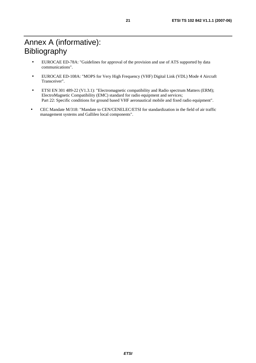# Annex A (informative): Bibliography

- EUROCAE ED-78A: "Guidelines for approval of the provision and use of ATS supported by data communications".
- EUROCAE ED-108A: "MOPS for Very High Frequency (VHF) Digital Link (VDL) Mode 4 Aircraft Transceiver".
- ETSI EN 301 489-22 (V1.3.1): "Electromagnetic compatibility and Radio spectrum Matters (ERM); ElectroMagnetic Compatibility (EMC) standard for radio equipment and services; Part 22: Specific conditions for ground based VHF aeronautical mobile and fixed radio equipment".
- CEC Mandate M/318: "Mandate to CEN/CENELEC/ETSI for standardization in the field of air traffic management systems and Gallileo local components".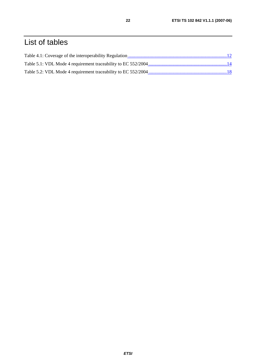# List of tables